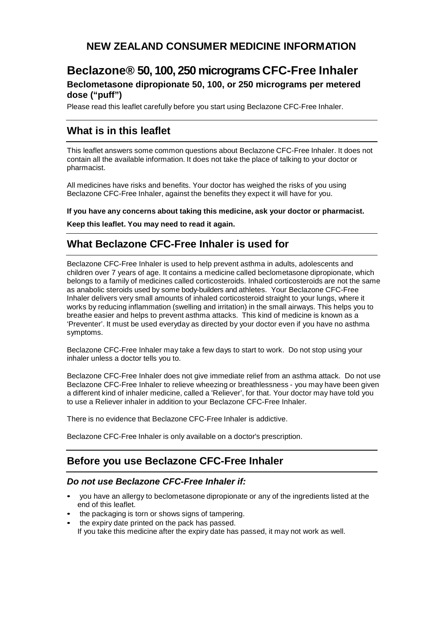# **NEW ZEALAND CONSUMER MEDICINE INFORMATION**

# **Beclazone® 50, 100, 250 micrograms CFC-Free Inhaler Beclometasone dipropionate 50, 100, or 250 micrograms per metered dose ("puff")**

Please read this leaflet carefully before you start using Beclazone CFC-Free Inhaler.

# **What is in this leaflet**

This leaflet answers some common questions about Beclazone CFC-Free Inhaler. It does not contain all the available information. It does not take the place of talking to your doctor or pharmacist.

All medicines have risks and benefits. Your doctor has weighed the risks of you using Beclazone CFC-Free Inhaler, against the benefits they expect it will have for you.

**If you have any concerns about taking this medicine, ask your doctor or pharmacist.**

**Keep this leaflet. You may need to read it again.**

# **What Beclazone CFC-Free Inhaler is used for**

Beclazone CFC-Free Inhaler is used to help prevent asthma in adults, adolescents and children over 7 years of age. It contains a medicine called beclometasone dipropionate, which belongs to a family of medicines called corticosteroids. Inhaled corticosteroids are not the same as anabolic steroids used by some body-builders and athletes. Your Beclazone CFC-Free Inhaler delivers very small amounts of inhaled corticosteroid straight to your lungs, where it works by reducing inflammation (swelling and irritation) in the small airways. This helps you to breathe easier and helps to prevent asthma attacks. This kind of medicine is known as a 'Preventer'. It must be used everyday as directed by your doctor even if you have no asthma symptoms.

Beclazone CFC-Free Inhaler may take a few days to start to work. Do not stop using your inhaler unless a doctor tells you to.

Beclazone CFC-Free Inhaler does not give immediate relief from an asthma attack. Do not use Beclazone CFC-Free Inhaler to relieve wheezing or breathlessness - you may have been given a different kind of inhaler medicine, called a 'Reliever', for that. Your doctor may have told you to use a Reliever inhaler in addition to your Beclazone CFC-Free Inhaler.

There is no evidence that Beclazone CFC-Free Inhaler is addictive.

Beclazone CFC-Free Inhaler is only available on a doctor's prescription.

# **Before you use Beclazone CFC-Free Inhaler**

## *Do not use Beclazone CFC-Free Inhaler if:*

- you have an allergy to beclometasone dipropionate or any of the ingredients listed at the end of this leaflet.
- the packaging is torn or shows signs of tampering.
- the expiry date printed on the pack has passed. If you take this medicine after the expiry date has passed, it may not work as well.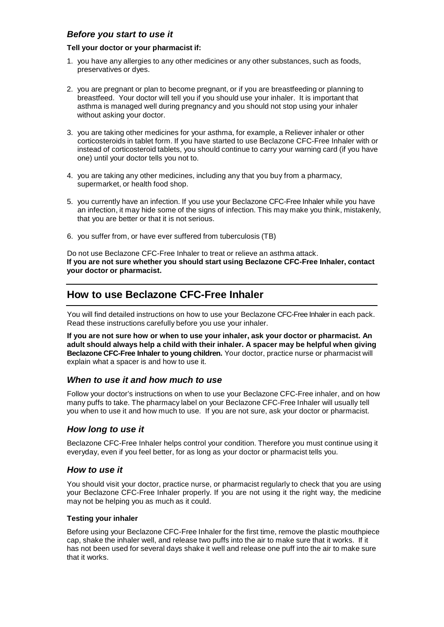## *Before you start to use it*

#### **Tell your doctor or your pharmacist if:**

- 1. you have any allergies to any other medicines or any other substances, such as foods, preservatives or dyes.
- 2. you are pregnant or plan to become pregnant, or if you are breastfeeding or planning to breastfeed. Your doctor will tell you if you should use your inhaler. It is important that asthma is managed well during pregnancy and you should not stop using your inhaler without asking your doctor.
- 3. you are taking other medicines for your asthma, for example, a Reliever inhaler or other corticosteroids in tablet form. If you have started to use Beclazone CFC-Free Inhaler with or instead of corticosteroid tablets, you should continue to carry your warning card (if you have one) until your doctor tells you not to.
- 4. you are taking any other medicines, including any that you buy from a pharmacy, supermarket, or health food shop.
- 5. you currently have an infection. If you use your Beclazone CFC-Free Inhaler while you have an infection, it may hide some of the signs of infection. This may make you think, mistakenly, that you are better or that it is not serious.
- 6. you suffer from, or have ever suffered from tuberculosis (TB)

Do not use Beclazone CFC-Free Inhaler to treat or relieve an asthma attack. **If you are not sure whether you should start using Beclazone CFC-Free Inhaler, contact your doctor or pharmacist.**

# **How to use Beclazone CFC-Free Inhaler**

You will find detailed instructions on how to use your Beclazone CFC-Free Inhaler in each pack. Read these instructions carefully before you use your inhaler.

**If you are not sure how or when to use your inhaler, ask your doctor or pharmacist. An adult should always help a child with their inhaler. A spacer may be helpful when giving Beclazone CFC-Free Inhaler to young children.** Your doctor, practice nurse or pharmacist will explain what a spacer is and how to use it.

## *When to use it and how much to use*

Follow your doctor's instructions on when to use your Beclazone CFC-Free inhaler, and on how many puffs to take. The pharmacy label on your Beclazone CFC-Free Inhaler will usually tell you when to use it and how much to use. If you are not sure, ask your doctor or pharmacist.

## *How long to use it*

Beclazone CFC-Free Inhaler helps control your condition. Therefore you must continue using it everyday, even if you feel better, for as long as your doctor or pharmacist tells you.

## *How to use it*

You should visit your doctor, practice nurse, or pharmacist regularly to check that you are using your Beclazone CFC-Free Inhaler properly. If you are not using it the right way, the medicine may not be helping you as much as it could.

### **Testing your inhaler**

Before using your Beclazone CFC-Free Inhaler for the first time, remove the plastic mouthpiece cap, shake the inhaler well, and release two puffs into the air to make sure that it works. If it has not been used for several days shake it well and release one puff into the air to make sure that it works.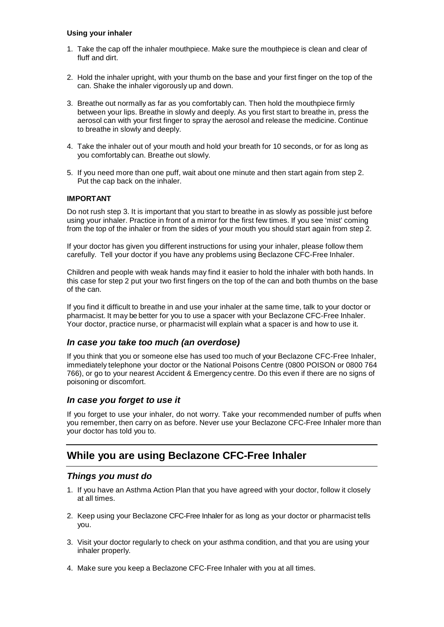### **Using your inhaler**

- 1. Take the cap off the inhaler mouthpiece. Make sure the mouthpiece is clean and clear of fluff and dirt.
- 2. Hold the inhaler upright, with your thumb on the base and your first finger on the top of the can. Shake the inhaler vigorously up and down.
- 3. Breathe out normally as far as you comfortably can. Then hold the mouthpiece firmly between your lips. Breathe in slowly and deeply. As you first start to breathe in, press the aerosol can with your first finger to spray the aerosol and release the medicine. Continue to breathe in slowly and deeply.
- 4. Take the inhaler out of your mouth and hold your breath for 10 seconds, or for as long as you comfortably can. Breathe out slowly.
- 5. If you need more than one puff, wait about one minute and then start again from step 2. Put the cap back on the inhaler.

#### **IMPORTANT**

Do not rush step 3. It is important that you start to breathe in as slowly as possible just before using your inhaler. Practice in front of a mirror for the first few times. If you see 'mist' coming from the top of the inhaler or from the sides of your mouth you should start again from step 2.

If your doctor has given you different instructions for using your inhaler, please follow them carefully. Tell your doctor if you have any problems using Beclazone CFC-Free Inhaler.

Children and people with weak hands may find it easier to hold the inhaler with both hands. In this case for step 2 put your two first fingers on the top of the can and both thumbs on the base of the can.

If you find it difficult to breathe in and use your inhaler at the same time, talk to your doctor or pharmacist. It may be better for you to use a spacer with your Beclazone CFC-Free Inhaler. Your doctor, practice nurse, or pharmacist will explain what a spacer is and how to use it.

## *In case you take too much (an overdose)*

If you think that you or someone else has used too much of your Beclazone CFC-Free Inhaler, immediately telephone your doctor or the National Poisons Centre (0800 POISON or 0800 764 766), or go to your nearest Accident & Emergency centre. Do this even if there are no signs of poisoning or discomfort.

### *In case you forget to use it*

If you forget to use your inhaler, do not worry. Take your recommended number of puffs when you remember, then carry on as before. Never use your Beclazone CFC-Free Inhaler more than your doctor has told you to.

# **While you are using Beclazone CFC-Free Inhaler**

### *Things you must do*

- 1. If you have an Asthma Action Plan that you have agreed with your doctor, follow it closely at all times.
- 2. Keep using your Beclazone CFC-Free Inhaler for as long as your doctor or pharmacist tells you.
- 3. Visit your doctor regularly to check on your asthma condition, and that you are using your inhaler properly.
- 4. Make sure you keep a Beclazone CFC-Free Inhaler with you at all times.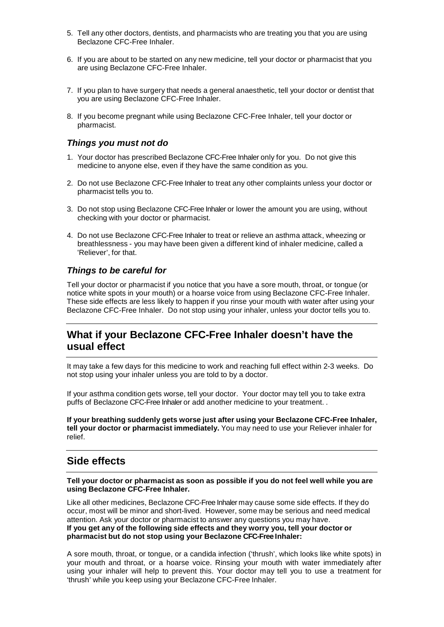- 5. Tell any other doctors, dentists, and pharmacists who are treating you that you are using Beclazone CFC-Free Inhaler.
- 6. If you are about to be started on any new medicine, tell your doctor or pharmacist that you are using Beclazone CFC-Free Inhaler.
- 7. If you plan to have surgery that needs a general anaesthetic, tell your doctor or dentist that you are using Beclazone CFC-Free Inhaler.
- 8. If you become pregnant while using Beclazone CFC-Free Inhaler, tell your doctor or pharmacist.

### *Things you must not do*

- 1. Your doctor has prescribed Beclazone CFC-Free Inhaler only for you. Do not give this medicine to anyone else, even if they have the same condition as you.
- 2. Do not use Beclazone CFC-Free Inhaler to treat any other complaints unless your doctor or pharmacist tells you to.
- 3. Do not stop using Beclazone CFC-Free Inhaler or lower the amount you are using, without checking with your doctor or pharmacist.
- 4. Do not use Beclazone CFC-Free Inhaler to treat or relieve an asthma attack, wheezing or breathlessness - you may have been given a different kind of inhaler medicine, called a 'Reliever', for that.

### *Things to be careful for*

Tell your doctor or pharmacist if you notice that you have a sore mouth, throat, or tongue (or notice white spots in your mouth) or a hoarse voice from using Beclazone CFC-Free Inhaler. These side effects are less likely to happen if you rinse your mouth with water after using your Beclazone CFC-Free Inhaler. Do not stop using your inhaler, unless your doctor tells you to.

# **What if your Beclazone CFC-Free Inhaler doesn't have the usual effect**

It may take a few days for this medicine to work and reaching full effect within 2-3 weeks. Do not stop using your inhaler unless you are told to by a doctor.

If your asthma condition gets worse, tell your doctor. Your doctor may tell you to take extra puffs of Beclazone CFC-Free Inhaler or add another medicine to your treatment. .

**If your breathing suddenly gets worse just after using your Beclazone CFC-Free Inhaler, tell your doctor or pharmacist immediately.** You may need to use your Reliever inhaler for relief.

# **Side effects**

**Tell your doctor or pharmacist as soon as possible if you do not feel well while you are using Beclazone CFC-Free Inhaler.**

Like all other medicines, Beclazone CFC-Free Inhaler may cause some side effects. If they do occur, most will be minor and short-lived. However, some may be serious and need medical attention. Ask your doctor or pharmacist to answer any questions you may have. **If you get any of the following side effects and they worry you, tell your doctor or pharmacist but do not stop using your Beclazone CFC-Free Inhaler:**

A sore mouth, throat, or tongue, or a candida infection ('thrush', which looks like white spots) in your mouth and throat, or a hoarse voice. Rinsing your mouth with water immediately after using your inhaler will help to prevent this. Your doctor may tell you to use a treatment for 'thrush' while you keep using your Beclazone CFC-Free Inhaler.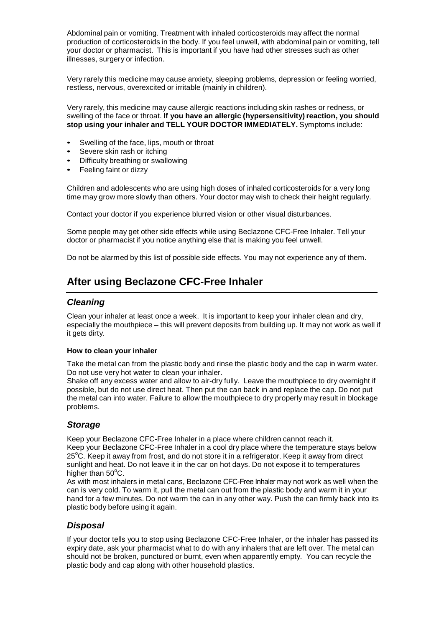Abdominal pain or vomiting. Treatment with inhaled corticosteroids may affect the normal production of corticosteroids in the body. If you feel unwell, with abdominal pain or vomiting, tell your doctor or pharmacist. This is important if you have had other stresses such as other illnesses, surgery or infection.

Very rarely this medicine may cause anxiety, sleeping problems, depression or feeling worried, restless, nervous, overexcited or irritable (mainly in children).

Very rarely, this medicine may cause allergic reactions including skin rashes or redness, or swelling of the face or throat. **If you have an allergic (hypersensitivity) reaction, you should stop using your inhaler and TELL YOUR DOCTOR IMMEDIATELY.** Symptoms include:

- Swelling of the face, lips, mouth or throat
- Severe skin rash or itching
- Difficulty breathing or swallowing
- Feeling faint or dizzy

Children and adolescents who are using high doses of inhaled corticosteroids for a very long time may grow more slowly than others. Your doctor may wish to check their height regularly.

Contact your doctor if you experience blurred vision or other visual disturbances.

Some people may get other side effects while using Beclazone CFC-Free Inhaler. Tell your doctor or pharmacist if you notice anything else that is making you feel unwell.

Do not be alarmed by this list of possible side effects. You may not experience any of them.

# **After using Beclazone CFC-Free Inhaler**

### *Cleaning*

Clean your inhaler at least once a week. It is important to keep your inhaler clean and dry, especially the mouthpiece – this will prevent deposits from building up. It may not work as well if it gets dirty.

#### **How to clean your inhaler**

Take the metal can from the plastic body and rinse the plastic body and the cap in warm water. Do not use very hot water to clean your inhaler.

Shake off any excess water and allow to air-dry fully. Leave the mouthpiece to dry overnight if possible, but do not use direct heat. Then put the can back in and replace the cap. Do not put the metal can into water. Failure to allow the mouthpiece to dry properly may result in blockage problems.

## *Storage*

Keep your Beclazone CFC-Free Inhaler in a place where children cannot reach it. Keep your Beclazone CFC-Free Inhaler in a cool dry place where the temperature stays below 25°C. Keep it away from frost, and do not store it in a refrigerator. Keep it away from direct sunlight and heat. Do not leave it in the car on hot days. Do not expose it to temperatures higher than 50°C.

As with most inhalers in metal cans, Beclazone CFC-Free Inhaler may not work as well when the can is very cold. To warm it, pull the metal can out from the plastic body and warm it in your hand for a few minutes. Do not warm the can in any other way. Push the can firmly back into its plastic body before using it again.

## *Disposal*

If your doctor tells you to stop using Beclazone CFC-Free Inhaler, or the inhaler has passed its expiry date, ask your pharmacist what to do with any inhalers that are left over. The metal can should not be broken, punctured or burnt, even when apparently empty. You can recycle the plastic body and cap along with other household plastics.